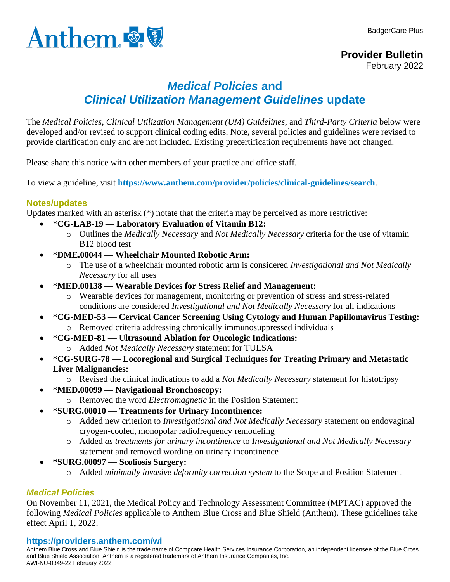



# *Medical Policies* **and**  *Clinical Utilization Management Guidelines* **update**

The *Medical Policies*, *Clinical Utilization Management (UM) Guidelines*, and *Third-Party Criteria* below were developed and/or revised to support clinical coding edits. Note, several policies and guidelines were revised to provide clarification only and are not included. Existing precertification requirements have not changed.

Please share this notice with other members of your practice and office staff.

To view a guideline, visit **<https://www.anthem.com/provider/policies/clinical-guidelines/search>**.

# **Notes/updates**

Updates marked with an asterisk (\*) notate that the criteria may be perceived as more restrictive:

- **\*CG-LAB-19 — Laboratory Evaluation of Vitamin B12:**
	- o Outlines the *Medically Necessary* and *Not Medically Necessary* criteria for the use of vitamin B12 blood test
- **\*DME.00044 — Wheelchair Mounted Robotic Arm:**
	- o The use of a wheelchair mounted robotic arm is considered *Investigational and Not Medically Necessary* for all uses
- **\*MED.00138 — Wearable Devices for Stress Relief and Management:**
	- o Wearable devices for management, monitoring or prevention of stress and stress-related conditions are considered *Investigational and Not Medically Necessary* for all indications
- **\*CG-MED-53 — Cervical Cancer Screening Using Cytology and Human Papillomavirus Testing:** o Removed criteria addressing chronically immunosuppressed individuals
- **\*CG-MED-81 — Ultrasound Ablation for Oncologic Indications:** o Added *Not Medically Necessary* statement for TULSA
- **\*CG-SURG-78 — Locoregional and Surgical Techniques for Treating Primary and Metastatic Liver Malignancies:**
	- o Revised the clinical indications to add a *Not Medically Necessary* statement for histotripsy
- **\*MED.00099 — Navigational Bronchoscopy:**
	- o Removed the word *Electromagnetic* in the Position Statement
- **\*SURG.00010 — Treatments for Urinary Incontinence:**
	- o Added new criterion to *Investigational and Not Medically Necessary* statement on endovaginal cryogen-cooled, monopolar radiofrequency remodeling
	- o Added *as treatments for urinary incontinence* to *Investigational and Not Medically Necessary* statement and removed wording on urinary incontinence
- **\*SURG.00097 — Scoliosis Surgery:**
	- o Added *minimally invasive deformity correction system* to the Scope and Position Statement

# *Medical Policies*

On November 11, 2021, the Medical Policy and Technology Assessment Committee (MPTAC) approved the following *Medical Policies* applicable to Anthem Blue Cross and Blue Shield (Anthem). These guidelines take effect April 1, 2022.

### **https://providers.anthem.com/wi**

Anthem Blue Cross and Blue Shield is the trade name of Compcare Health Services Insurance Corporation, an independent licensee of the Blue Cross and Blue Shield Association. Anthem is a registered trademark of Anthem Insurance Companies, Inc. AWI-NU-0349-22 February 2022